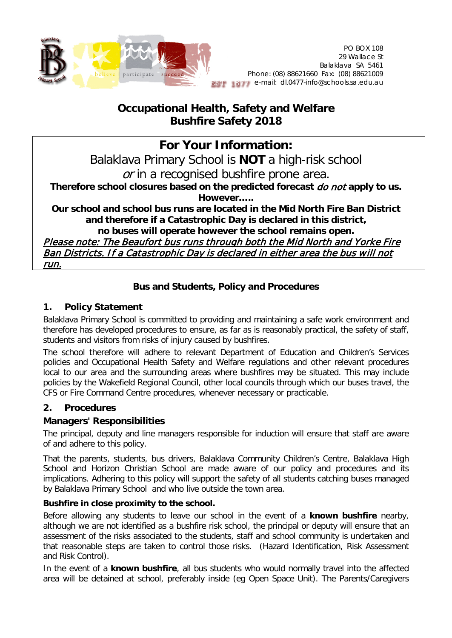

## **Occupational Health, Safety and Welfare Bushfire Safety 2018**

# **For Your Information:**

Balaklava Primary School is **NOT** a high-risk school or in a recognised bushfire prone area.

**Therefore school closures based on the predicted forecast** do not **apply to us. However…..**

**Our school and school bus runs are located in the Mid North Fire Ban District and therefore if a Catastrophic Day is declared in this district, no buses will operate however the school remains open.**

Please note: The Beaufort bus runs through both the Mid North and Yorke Fire Ban Districts. If a Catastrophic Day is declared in either area the bus will not run.

## **Bus and Students, Policy and Procedures**

#### **1. Policy Statement**

Balaklava Primary School is committed to providing and maintaining a safe work environment and therefore has developed procedures to ensure, as far as is reasonably practical, the safety of staff, students and visitors from risks of injury caused by bushfires.

The school therefore will adhere to relevant Department of Education and Children's Services policies and Occupational Health Safety and Welfare regulations and other relevant procedures local to our area and the surrounding areas where bushfires may be situated. This may include policies by the Wakefield Regional Council, other local councils through which our buses travel, the CFS or Fire Command Centre procedures, whenever necessary or practicable.

## **2. Procedures**

## **Managers' Responsibilities**

The principal, deputy and line managers responsible for induction will ensure that staff are aware of and adhere to this policy.

That the parents, students, bus drivers, Balaklava Community Children's Centre, Balaklava High School and Horizon Christian School are made aware of our policy and procedures and its implications. Adhering to this policy will support the safety of all students catching buses managed by Balaklava Primary School and who live outside the town area.

#### **Bushfire in close proximity to the school.**

Before allowing any students to leave our school in the event of a **known bushfire** nearby, although we are not identified as a bushfire risk school, the principal or deputy will ensure that an assessment of the risks associated to the students, staff and school community is undertaken and that reasonable steps are taken to control those risks. (Hazard Identification, Risk Assessment and Risk Control).

In the event of a **known bushfire**, all bus students who would normally travel into the affected area will be detained at school, preferably inside (eg Open Space Unit). The Parents/Caregivers